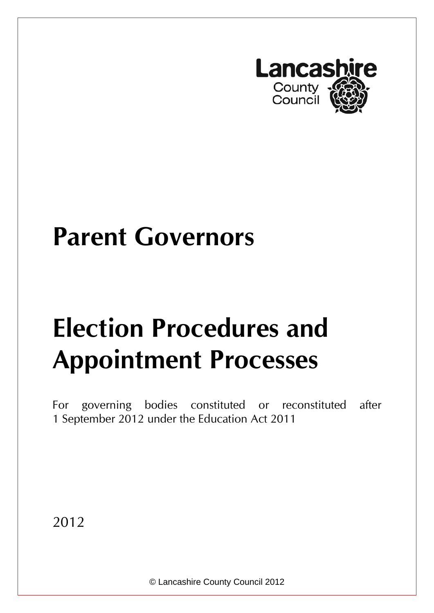

# **Parent Governors**

# **Election Procedures and Appointment Processes**

For governing bodies constituted or reconstituted after 1 September 2012 under the Education Act 2011

2012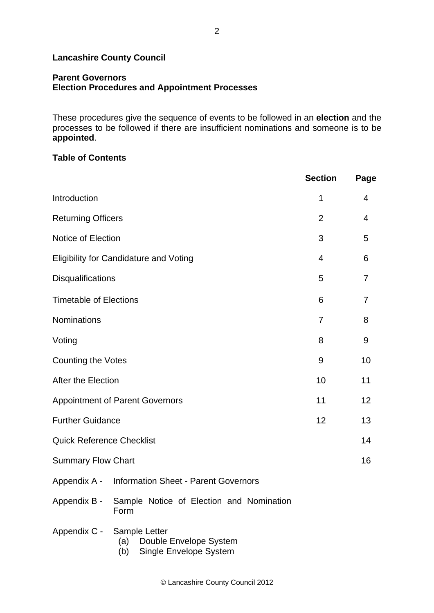#### **Lancashire County Council**

#### **Parent Governors Election Procedures and Appointment Processes**

These procedures give the sequence of events to be followed in an **election** and the processes to be followed if there are insufficient nominations and someone is to be **appointed**.

#### **Table of Contents**

|                                                   |                                                                                 | <b>Section</b> | Page |
|---------------------------------------------------|---------------------------------------------------------------------------------|----------------|------|
| Introduction                                      | 1                                                                               | 4              |      |
| <b>Returning Officers</b>                         | $\overline{2}$                                                                  | 4              |      |
| Notice of Election                                | 3                                                                               | 5              |      |
| <b>Eligibility for Candidature and Voting</b>     | $\overline{4}$                                                                  | 6              |      |
| Disqualifications                                 | 5                                                                               | $\overline{7}$ |      |
| <b>Timetable of Elections</b>                     | 6                                                                               | 7              |      |
| Nominations                                       | $\overline{7}$                                                                  | 8              |      |
| Voting                                            |                                                                                 | 8              | 9    |
| <b>Counting the Votes</b>                         | 9                                                                               | 10             |      |
| After the Election                                | 10                                                                              | 11             |      |
| <b>Appointment of Parent Governors</b>            | 11                                                                              | 12             |      |
| <b>Further Guidance</b>                           | 12                                                                              | 13             |      |
| <b>Quick Reference Checklist</b>                  |                                                                                 | 14             |      |
| <b>Summary Flow Chart</b>                         |                                                                                 | 16             |      |
| Appendix A - Information Sheet - Parent Governors |                                                                                 |                |      |
|                                                   | Appendix B - Sample Notice of Election and Nomination<br>Form                   |                |      |
| Appendix C -                                      | Sample Letter<br>Double Envelope System<br>(a)<br>Single Envelope System<br>(b) |                |      |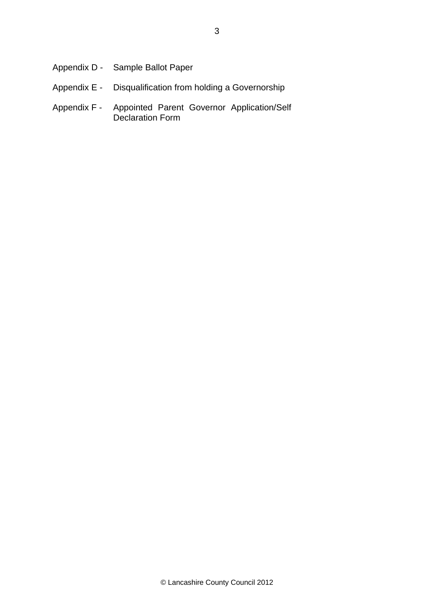| Appendix D - Sample Ballot Paper                          |
|-----------------------------------------------------------|
| Appendix E - Disqualification from holding a Governorship |

Appendix F - Appointed Parent Governor Application/Self Declaration Form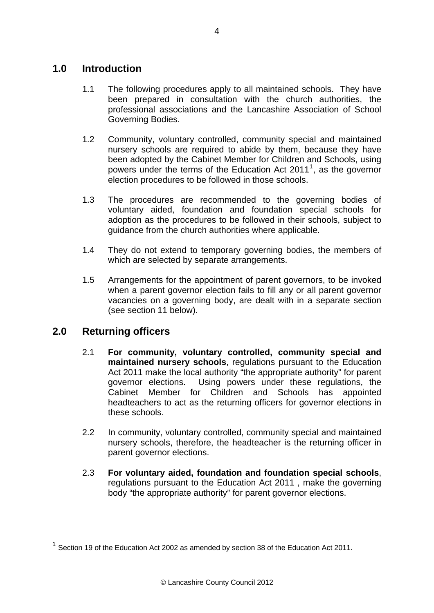## **1.0 Introduction**

- 1.1 The following procedures apply to all maintained schools. They have been prepared in consultation with the church authorities, the professional associations and the Lancashire Association of School Governing Bodies.
- 1.2 Community, voluntary controlled, community special and maintained nursery schools are required to abide by them, because they have been adopted by the Cabinet Member for Children and Schools, using powers under the terms of the Education Act 20[1](#page-3-0)1<sup>1</sup>, as the governor election procedures to be followed in those schools.
- 1.3 The procedures are recommended to the governing bodies of voluntary aided, foundation and foundation special schools for adoption as the procedures to be followed in their schools, subject to guidance from the church authorities where applicable.
- 1.4 They do not extend to temporary governing bodies, the members of which are selected by separate arrangements.
- 1.5 Arrangements for the appointment of parent governors, to be invoked when a parent governor election fails to fill any or all parent governor vacancies on a governing body, are dealt with in a separate section (see section 11 below).

## **2.0 Returning officers**

1

- 2.1 **For community, voluntary controlled, community special and maintained nursery schools**, regulations pursuant to the Education Act 2011 make the local authority "the appropriate authority" for parent governor elections. Using powers under these regulations, the Cabinet Member for Children and Schools has appointed headteachers to act as the returning officers for governor elections in these schools.
- 2.2 In community, voluntary controlled, community special and maintained nursery schools, therefore, the headteacher is the returning officer in parent governor elections.
- 2.3 **For voluntary aided, foundation and foundation special schools**, regulations pursuant to the Education Act 2011 , make the governing body "the appropriate authority" for parent governor elections.

<span id="page-3-0"></span> $1$  Section 19 of the Education Act 2002 as amended by section 38 of the Education Act 2011.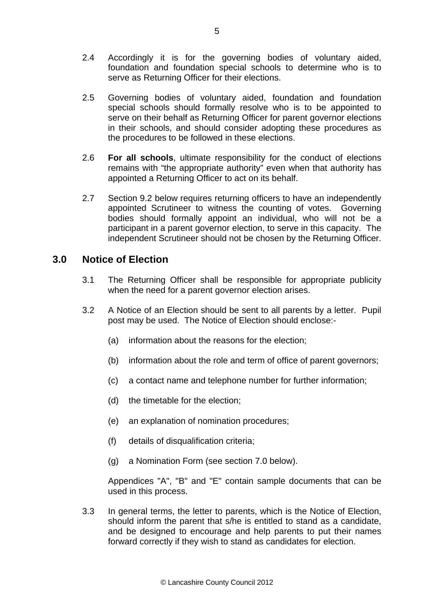- 2.4 Accordingly it is for the governing bodies of voluntary aided, foundation and foundation special schools to determine who is to serve as Returning Officer for their elections.
- 2.5 Governing bodies of voluntary aided, foundation and foundation special schools should formally resolve who is to be appointed to serve on their behalf as Returning Officer for parent governor elections in their schools, and should consider adopting these procedures as the procedures to be followed in these elections.
- 2.6 **For all schools**, ultimate responsibility for the conduct of elections remains with "the appropriate authority" even when that authority has appointed a Returning Officer to act on its behalf.
- 2.7 Section 9.2 below requires returning officers to have an independently appointed Scrutineer to witness the counting of votes. Governing bodies should formally appoint an individual, who will not be a participant in a parent governor election, to serve in this capacity. The independent Scrutineer should not be chosen by the Returning Officer.

## **3.0 Notice of Election**

- 3.1 The Returning Officer shall be responsible for appropriate publicity when the need for a parent governor election arises.
- 3.2 A Notice of an Election should be sent to all parents by a letter. Pupil post may be used. The Notice of Election should enclose:-
	- (a) information about the reasons for the election;
	- (b) information about the role and term of office of parent governors;
	- (c) a contact name and telephone number for further information;
	- (d) the timetable for the election;
	- (e) an explanation of nomination procedures;
	- (f) details of disqualification criteria;
	- (g) a Nomination Form (see section 7.0 below).

Appendices "A", "B" and "E" contain sample documents that can be used in this process.

3.3 In general terms, the letter to parents, which is the Notice of Election, should inform the parent that s/he is entitled to stand as a candidate, and be designed to encourage and help parents to put their names forward correctly if they wish to stand as candidates for election.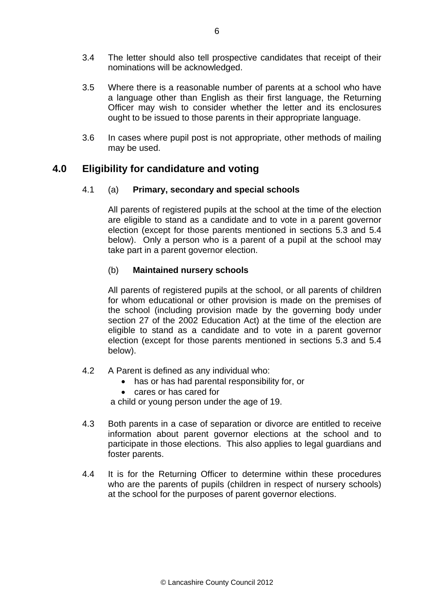- 3.4 The letter should also tell prospective candidates that receipt of their nominations will be acknowledged.
- 3.5 Where there is a reasonable number of parents at a school who have a language other than English as their first language, the Returning Officer may wish to consider whether the letter and its enclosures ought to be issued to those parents in their appropriate language.
- 3.6 In cases where pupil post is not appropriate, other methods of mailing may be used.

## **4.0 Eligibility for candidature and voting**

#### 4.1 (a) **Primary, secondary and special schools**

All parents of registered pupils at the school at the time of the election are eligible to stand as a candidate and to vote in a parent governor election (except for those parents mentioned in sections 5.3 and 5.4 below). Only a person who is a parent of a pupil at the school may take part in a parent governor election.

#### (b) **Maintained nursery schools**

All parents of registered pupils at the school, or all parents of children for whom educational or other provision is made on the premises of the school (including provision made by the governing body under section 27 of the 2002 Education Act) at the time of the election are eligible to stand as a candidate and to vote in a parent governor election (except for those parents mentioned in sections 5.3 and 5.4 below).

- 4.2 A Parent is defined as any individual who:
	- has or has had parental responsibility for, or
		- cares or has cared for

a child or young person under the age of 19.

- 4.3 Both parents in a case of separation or divorce are entitled to receive information about parent governor elections at the school and to participate in those elections. This also applies to legal guardians and foster parents.
- 4.4 It is for the Returning Officer to determine within these procedures who are the parents of pupils (children in respect of nursery schools) at the school for the purposes of parent governor elections.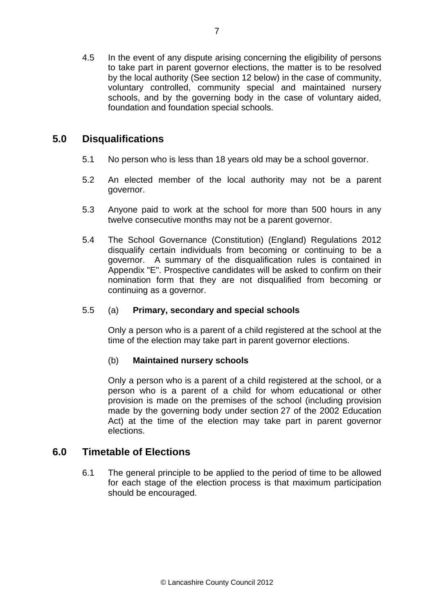4.5 In the event of any dispute arising concerning the eligibility of persons to take part in parent governor elections, the matter is to be resolved by the local authority (See section 12 below) in the case of community, voluntary controlled, community special and maintained nursery schools, and by the governing body in the case of voluntary aided, foundation and foundation special schools.

## **5.0 Disqualifications**

- 5.1 No person who is less than 18 years old may be a school governor.
- 5.2 An elected member of the local authority may not be a parent governor.
- 5.3 Anyone paid to work at the school for more than 500 hours in any twelve consecutive months may not be a parent governor.
- 5.4 The School Governance (Constitution) (England) Regulations 2012 disqualify certain individuals from becoming or continuing to be a governor. A summary of the disqualification rules is contained in Appendix "E". Prospective candidates will be asked to confirm on their nomination form that they are not disqualified from becoming or continuing as a governor.

#### 5.5 (a) **Primary, secondary and special schools**

Only a person who is a parent of a child registered at the school at the time of the election may take part in parent governor elections.

#### (b) **Maintained nursery schools**

Only a person who is a parent of a child registered at the school, or a person who is a parent of a child for whom educational or other provision is made on the premises of the school (including provision made by the governing body under section 27 of the 2002 Education Act) at the time of the election may take part in parent governor elections.

## **6.0 Timetable of Elections**

6.1 The general principle to be applied to the period of time to be allowed for each stage of the election process is that maximum participation should be encouraged.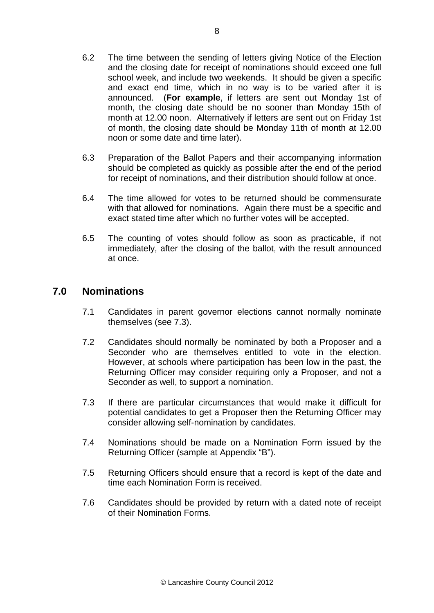- 6.2 The time between the sending of letters giving Notice of the Election and the closing date for receipt of nominations should exceed one full school week, and include two weekends. It should be given a specific and exact end time, which in no way is to be varied after it is announced. (**For example**, if letters are sent out Monday 1st of month, the closing date should be no sooner than Monday 15th of month at 12.00 noon. Alternatively if letters are sent out on Friday 1st of month, the closing date should be Monday 11th of month at 12.00 noon or some date and time later).
- 6.3 Preparation of the Ballot Papers and their accompanying information should be completed as quickly as possible after the end of the period for receipt of nominations, and their distribution should follow at once.
- 6.4 The time allowed for votes to be returned should be commensurate with that allowed for nominations. Again there must be a specific and exact stated time after which no further votes will be accepted.
- 6.5 The counting of votes should follow as soon as practicable, if not immediately, after the closing of the ballot, with the result announced at once.

## **7.0 Nominations**

- 7.1 Candidates in parent governor elections cannot normally nominate themselves (see 7.3).
- 7.2 Candidates should normally be nominated by both a Proposer and a Seconder who are themselves entitled to vote in the election. However, at schools where participation has been low in the past, the Returning Officer may consider requiring only a Proposer, and not a Seconder as well, to support a nomination.
- 7.3 If there are particular circumstances that would make it difficult for potential candidates to get a Proposer then the Returning Officer may consider allowing self-nomination by candidates.
- 7.4 Nominations should be made on a Nomination Form issued by the Returning Officer (sample at Appendix "B").
- 7.5 Returning Officers should ensure that a record is kept of the date and time each Nomination Form is received.
- 7.6 Candidates should be provided by return with a dated note of receipt of their Nomination Forms.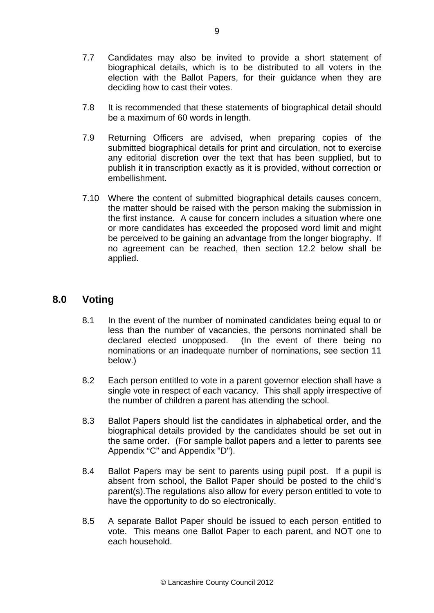- 7.7 Candidates may also be invited to provide a short statement of biographical details, which is to be distributed to all voters in the election with the Ballot Papers, for their guidance when they are deciding how to cast their votes.
- 7.8 It is recommended that these statements of biographical detail should be a maximum of 60 words in length.
- 7.9 Returning Officers are advised, when preparing copies of the submitted biographical details for print and circulation, not to exercise any editorial discretion over the text that has been supplied, but to publish it in transcription exactly as it is provided, without correction or embellishment.
- 7.10 Where the content of submitted biographical details causes concern, the matter should be raised with the person making the submission in the first instance. A cause for concern includes a situation where one or more candidates has exceeded the proposed word limit and might be perceived to be gaining an advantage from the longer biography.If no agreement can be reached, then section 12.2 below shall be applied.

## **8.0 Voting**

- 8.1 In the event of the number of nominated candidates being equal to or less than the number of vacancies, the persons nominated shall be declared elected unopposed. (In the event of there being no nominations or an inadequate number of nominations, see section 11 below.)
- 8.2 Each person entitled to vote in a parent governor election shall have a single vote in respect of each vacancy. This shall apply irrespective of the number of children a parent has attending the school.
- 8.3 Ballot Papers should list the candidates in alphabetical order, and the biographical details provided by the candidates should be set out in the same order. (For sample ballot papers and a letter to parents see Appendix "C" and Appendix "D").
- 8.4 Ballot Papers may be sent to parents using pupil post. If a pupil is absent from school, the Ballot Paper should be posted to the child's parent(s).The regulations also allow for every person entitled to vote to have the opportunity to do so electronically.
- 8.5 A separate Ballot Paper should be issued to each person entitled to vote. This means one Ballot Paper to each parent, and NOT one to each household.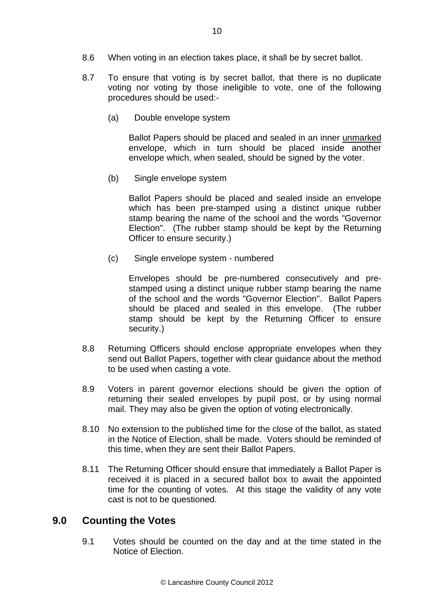- 8.6 When voting in an election takes place, it shall be by secret ballot.
- 8.7 To ensure that voting is by secret ballot, that there is no duplicate voting nor voting by those ineligible to vote, one of the following procedures should be used:-
	- (a) Double envelope system

Ballot Papers should be placed and sealed in an inner unmarked envelope, which in turn should be placed inside another envelope which, when sealed, should be signed by the voter.

(b) Single envelope system

Ballot Papers should be placed and sealed inside an envelope which has been pre-stamped using a distinct unique rubber stamp bearing the name of the school and the words "Governor Election". (The rubber stamp should be kept by the Returning Officer to ensure security.)

(c) Single envelope system - numbered

Envelopes should be pre-numbered consecutively and prestamped using a distinct unique rubber stamp bearing the name of the school and the words "Governor Election". Ballot Papers should be placed and sealed in this envelope. (The rubber stamp should be kept by the Returning Officer to ensure security.)

- 8.8 Returning Officers should enclose appropriate envelopes when they send out Ballot Papers, together with clear guidance about the method to be used when casting a vote.
- 8.9 Voters in parent governor elections should be given the option of returning their sealed envelopes by pupil post, or by using normal mail. They may also be given the option of voting electronically.
- 8.10 No extension to the published time for the close of the ballot, as stated in the Notice of Election, shall be made. Voters should be reminded of this time, when they are sent their Ballot Papers.
- 8.11 The Returning Officer should ensure that immediately a Ballot Paper is received it is placed in a secured ballot box to await the appointed time for the counting of votes. At this stage the validity of any vote cast is not to be questioned.

## **9.0 Counting the Votes**

9.1 Votes should be counted on the day and at the time stated in the Notice of Election.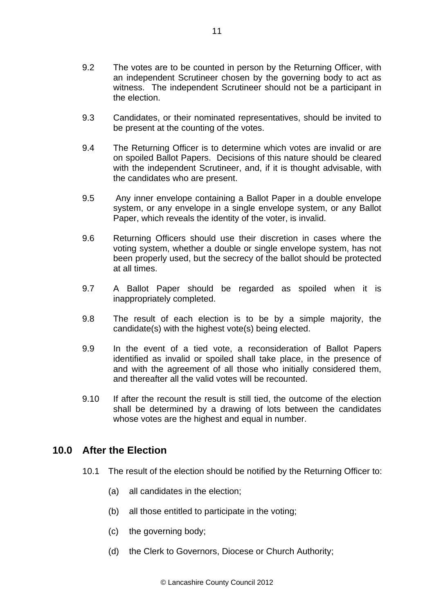- 9.2 The votes are to be counted in person by the Returning Officer, with an independent Scrutineer chosen by the governing body to act as witness. The independent Scrutineer should not be a participant in the election.
- 9.3 Candidates, or their nominated representatives, should be invited to be present at the counting of the votes.
- 9.4 The Returning Officer is to determine which votes are invalid or are on spoiled Ballot Papers. Decisions of this nature should be cleared with the independent Scrutineer, and, if it is thought advisable, with the candidates who are present.
- 9.5 Any inner envelope containing a Ballot Paper in a double envelope system, or any envelope in a single envelope system, or any Ballot Paper, which reveals the identity of the voter, is invalid.
- 9.6 Returning Officers should use their discretion in cases where the voting system, whether a double or single envelope system, has not been properly used, but the secrecy of the ballot should be protected at all times.
- 9.7 A Ballot Paper should be regarded as spoiled when it is inappropriately completed.
- 9.8 The result of each election is to be by a simple majority, the candidate(s) with the highest vote(s) being elected.
- 9.9 In the event of a tied vote, a reconsideration of Ballot Papers identified as invalid or spoiled shall take place, in the presence of and with the agreement of all those who initially considered them, and thereafter all the valid votes will be recounted.
- 9.10 If after the recount the result is still tied, the outcome of the election shall be determined by a drawing of lots between the candidates whose votes are the highest and equal in number.

## **10.0 After the Election**

- 10.1 The result of the election should be notified by the Returning Officer to:
	- (a) all candidates in the election;
	- (b) all those entitled to participate in the voting;
	- (c) the governing body;
	- (d) the Clerk to Governors, Diocese or Church Authority;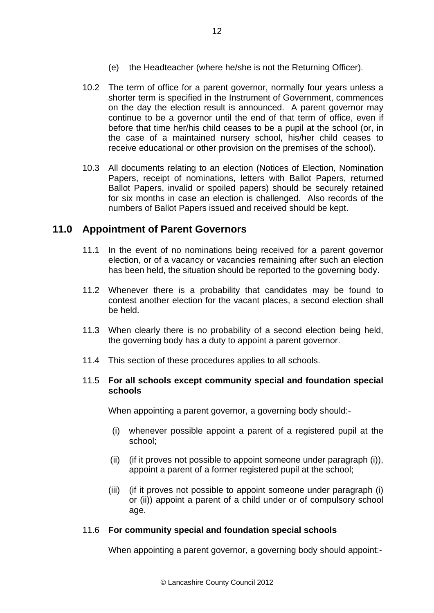- (e) the Headteacher (where he/she is not the Returning Officer).
- 10.2 The term of office for a parent governor, normally four years unless a shorter term is specified in the Instrument of Government, commences on the day the election result is announced. A parent governor may continue to be a governor until the end of that term of office, even if before that time her/his child ceases to be a pupil at the school (or, in the case of a maintained nursery school, his/her child ceases to receive educational or other provision on the premises of the school).
- 10.3 All documents relating to an election (Notices of Election, Nomination Papers, receipt of nominations, letters with Ballot Papers, returned Ballot Papers, invalid or spoiled papers) should be securely retained for six months in case an election is challenged. Also records of the numbers of Ballot Papers issued and received should be kept.

## **11.0 Appointment of Parent Governors**

- 11.1 In the event of no nominations being received for a parent governor election, or of a vacancy or vacancies remaining after such an election has been held, the situation should be reported to the governing body.
- 11.2 Whenever there is a probability that candidates may be found to contest another election for the vacant places, a second election shall be held.
- 11.3 When clearly there is no probability of a second election being held, the governing body has a duty to appoint a parent governor.
- 11.4 This section of these procedures applies to all schools.

#### 11.5 **For all schools except community special and foundation special schools**

When appointing a parent governor, a governing body should:-

- (i) whenever possible appoint a parent of a registered pupil at the school;
- (ii) (if it proves not possible to appoint someone under paragraph (i)), appoint a parent of a former registered pupil at the school;
- (iii) (if it proves not possible to appoint someone under paragraph (i) or (ii)) appoint a parent of a child under or of compulsory school age.

#### 11.6 **For community special and foundation special schools**

When appointing a parent governor, a governing body should appoint:-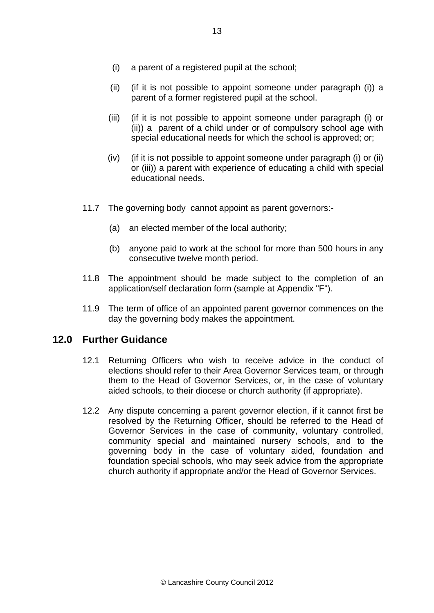- (i) a parent of a registered pupil at the school;
- (ii) (if it is not possible to appoint someone under paragraph (i)) a parent of a former registered pupil at the school.
- (iii) (if it is not possible to appoint someone under paragraph (i) or (ii)) a parent of a child under or of compulsory school age with special educational needs for which the school is approved; or;
- (iv) (if it is not possible to appoint someone under paragraph (i) or (ii) or (iii)) a parent with experience of educating a child with special educational needs.
- 11.7 The governing bodycannot appoint as parent governors:-
	- (a) an elected member of the local authority;
	- (b) anyone paid to work at the school for more than 500 hours in any consecutive twelve month period.
- 11.8 The appointment should be made subject to the completion of an application/self declaration form (sample at Appendix "F").
- 11.9 The term of office of an appointed parent governor commences on the day the governing body makes the appointment.

## **12.0 Further Guidance**

- 12.1 Returning Officers who wish to receive advice in the conduct of elections should refer to their Area Governor Services team, or through them to the Head of Governor Services, or, in the case of voluntary aided schools, to their diocese or church authority (if appropriate).
- 12.2 Any dispute concerning a parent governor election, if it cannot first be resolved by the Returning Officer, should be referred to the Head of Governor Services in the case of community, voluntary controlled, community special and maintained nursery schools, and to the governing body in the case of voluntary aided, foundation and foundation special schools, who may seek advice from the appropriate church authority if appropriate and/or the Head of Governor Services.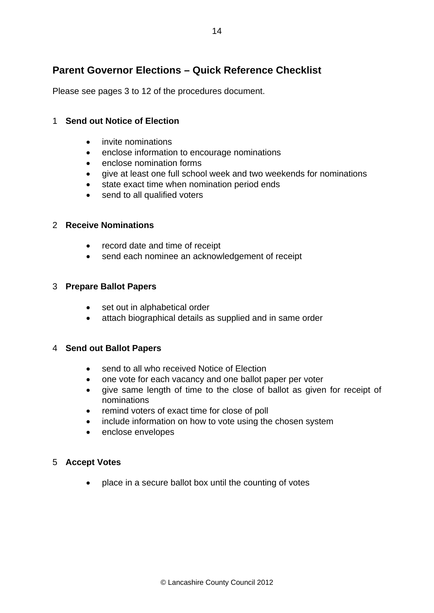## **Parent Governor Elections – Quick Reference Checklist**

Please see pages 3 to 12 of the procedures document.

#### 1 **Send out Notice of Election**

- invite nominations
- enclose information to encourage nominations
- enclose nomination forms
- give at least one full school week and two weekends for nominations
- state exact time when nomination period ends
- send to all qualified voters

#### 2 **Receive Nominations**

- record date and time of receipt
- send each nominee an acknowledgement of receipt

#### 3 **Prepare Ballot Papers**

- set out in alphabetical order
- attach biographical details as supplied and in same order

#### 4 **Send out Ballot Papers**

- send to all who received Notice of Election
- one vote for each vacancy and one ballot paper per voter
- give same length of time to the close of ballot as given for receipt of nominations
- remind voters of exact time for close of poll
- include information on how to vote using the chosen system
- enclose envelopes

#### 5 **Accept Votes**

• place in a secure ballot box until the counting of votes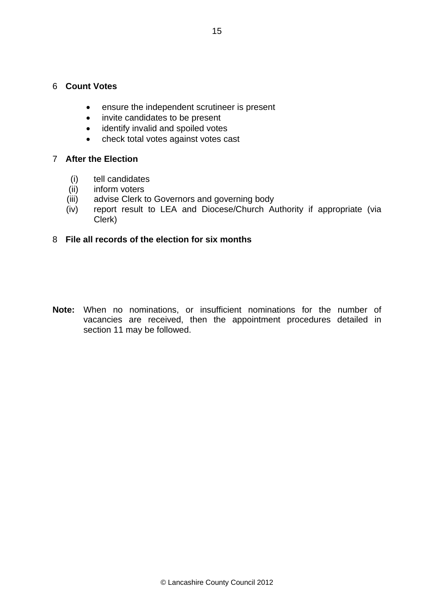#### 6 **Count Votes**

- ensure the independent scrutineer is present
- invite candidates to be present
- identify invalid and spoiled votes
- check total votes against votes cast

#### 7 **After the Election**

- (i) tell candidates
- (ii) inform voters
- (iii) advise Clerk to Governors and governing body
- (iv) report result to LEA and Diocese/Church Authority if appropriate (via Clerk)

#### 8 **File all records of the election for six months**

**Note:** When no nominations, or insufficient nominations for the number of vacancies are received, then the appointment procedures detailed in section 11 may be followed.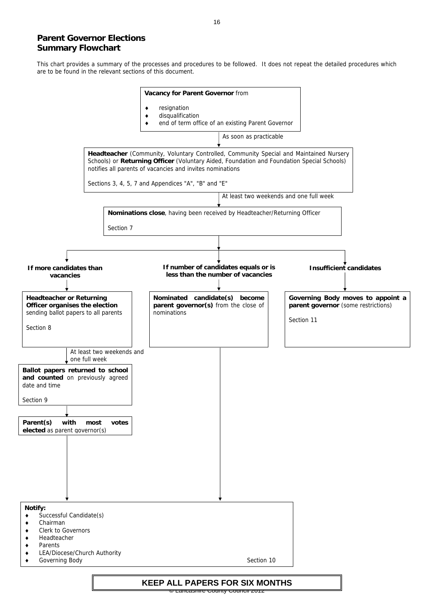# **Parent Governor Elections Summary Flowchart**

This chart provides a summary of the processes and procedures to be followed. It does not repeat the detailed procedures which are to be found in the relevant sections of this document.

© Lancashire County Council 2012

- ♦ Successful Candidate(s)
- ♦ Chairman
- ♦ Clerk to Governors
- ♦ Headteacher
- ♦ Parents
- ♦ LEA/Diocese/Church Authority
- **Governing Body** Section 10



#### **Notify:**

# **KEEP ALL PAPERS FOR SIX MONTHS**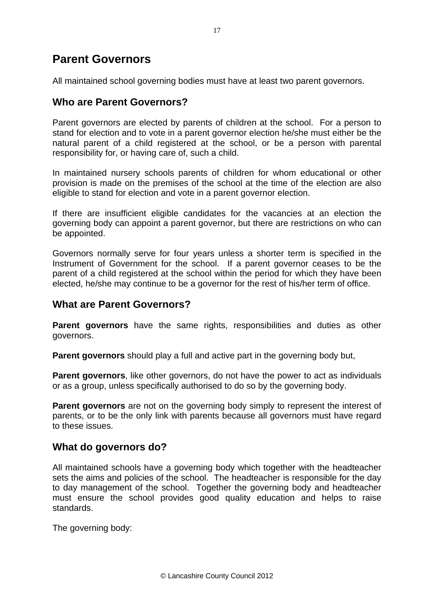# **Parent Governors**

All maintained school governing bodies must have at least two parent governors.

## **Who are Parent Governors?**

Parent governors are elected by parents of children at the school. For a person to stand for election and to vote in a parent governor election he/she must either be the natural parent of a child registered at the school, or be a person with parental responsibility for, or having care of, such a child.

In maintained nursery schools parents of children for whom educational or other provision is made on the premises of the school at the time of the election are also eligible to stand for election and vote in a parent governor election.

If there are insufficient eligible candidates for the vacancies at an election the governing body can appoint a parent governor, but there are restrictions on who can be appointed.

Governors normally serve for four years unless a shorter term is specified in the Instrument of Government for the school. If a parent governor ceases to be the parent of a child registered at the school within the period for which they have been elected, he/she may continue to be a governor for the rest of his/her term of office.

## **What are Parent Governors?**

**Parent governors** have the same rights, responsibilities and duties as other governors.

**Parent governors** should play a full and active part in the governing body but,

**Parent governors**, like other governors, do not have the power to act as individuals or as a group, unless specifically authorised to do so by the governing body.

**Parent governors** are not on the governing body simply to represent the interest of parents, or to be the only link with parents because all governors must have regard to these issues.

## **What do governors do?**

All maintained schools have a governing body which together with the headteacher sets the aims and policies of the school. The headteacher is responsible for the day to day management of the school. Together the governing body and headteacher must ensure the school provides good quality education and helps to raise standards.

The governing body: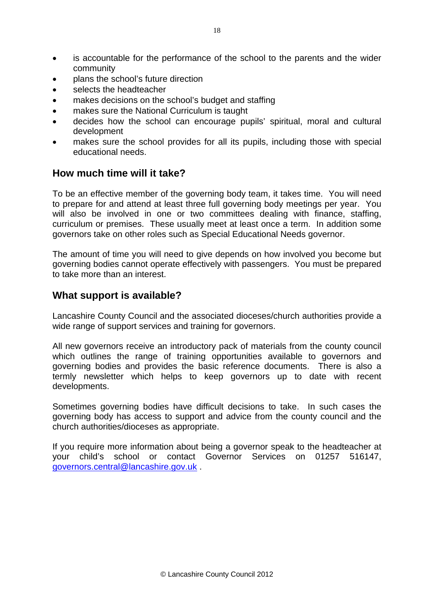- is accountable for the performance of the school to the parents and the wider community
- plans the school's future direction
- selects the headteacher
- makes decisions on the school's budget and staffing
- makes sure the National Curriculum is taught
- decides how the school can encourage pupils' spiritual, moral and cultural development
- makes sure the school provides for all its pupils, including those with special educational needs.

## **How much time will it take?**

To be an effective member of the governing body team, it takes time. You will need to prepare for and attend at least three full governing body meetings per year. You will also be involved in one or two committees dealing with finance, staffing, curriculum or premises. These usually meet at least once a term. In addition some governors take on other roles such as Special Educational Needs governor.

The amount of time you will need to give depends on how involved you become but governing bodies cannot operate effectively with passengers. You must be prepared to take more than an interest.

## **What support is available?**

Lancashire County Council and the associated dioceses/church authorities provide a wide range of support services and training for governors.

All new governors receive an introductory pack of materials from the county council which outlines the range of training opportunities available to governors and governing bodies and provides the basic reference documents. There is also a termly newsletter which helps to keep governors up to date with recent developments.

Sometimes governing bodies have difficult decisions to take. In such cases the governing body has access to support and advice from the county council and the church authorities/dioceses as appropriate.

If you require more information about being a governor speak to the headteacher at your child's school or contact Governor Services on 01257 516147, [governors.central@lancashire.gov.uk](mailto:governors.central@lancashire.gov.uk) .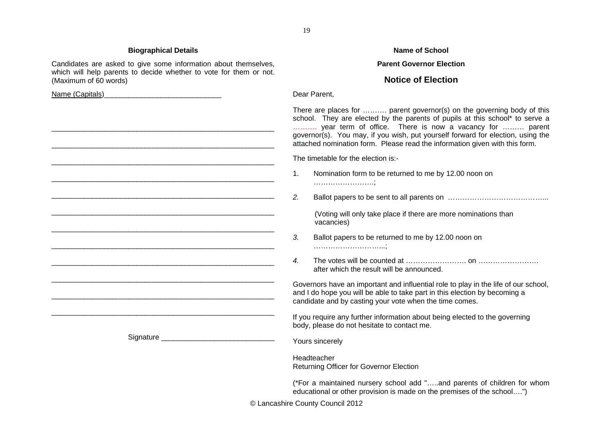#### **Biographical Details Name of School Accord Accord 2016 12:30 Name of School Accord 2016**

Candidates are asked to give some information about themselves, which will help parents to decide whether to vote for them or not. (Maximum of 60 words)

 $\mathcal{L}_\text{max}$  and the contract of the contract of the contract of the contract of the contract of the contract of

 $\mathcal{L}_\text{max}$  and the contract of the contract of the contract of the contract of the contract of the contract of

 $\mathcal{L}_\text{max}$  and the contract of the contract of the contract of the contract of the contract of the contract of

Signature **Example 2018** 

Name (Capitals)

#### **Parent Governor Election**

#### **Notice of Election**

Dear Parent,

There are places for ………. parent governor(s) on the governing body of this school. They are elected by the parents of pupils at this school\* to serve a ………. year term of office. There is now a vacancy for ……… parent governor(s). You may, if you wish, put yourself forward for election, using the attached nomination form. Please read the information given with this form.

The timetable for the election is:-

- 1. Nomination form to be returned to me by 12.00 noon on …………………….;
- *2.*Ballot papers to be sent to all parents on …………………………………...

 (Voting will only take place if there are more nominations than vacancies)

- *3.* Ballot papers to be returned to me by 12.00 noon on ………………………...;
- *4.* The votes will be counted at ……………………. on ……………………. after which the result will be announced.

Governors have an important and influential role to play in the life of our school, and I do hope you will be able to take part in this election by becoming a candidate and by casting your vote when the time comes.

If you require any further information about being elected to the governing body, please do not hesitate to contact me.

Yours sincerely

Headteacher

Returning Officer for Governor Election

(\*For a maintained nursery school add "…..and parents of children for whom educational or other provision is made on the premises of the school….")

© Lancashire County Council 2012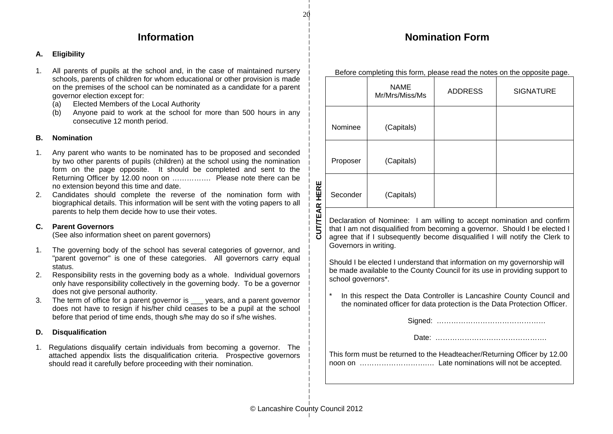## **Information**

#### **A. Eligibility**

- 1. All parents of pupils at the school and, in the case of maintained nursery schools, parents of children for whom educational or other provision is made on the premises of the school can be nominated as a candidate for a parent governor election except for:
	- (a) Elected Members of the Local Authority
	- (b) Anyone paid to work at the school for more than 500 hours in any consecutive 12 month period.

#### **B. Nomination**

- 1. Any parent who wants to be nominated has to be proposed and seconded by two other parents of pupils (children) at the school using the nomination form on the page opposite. It should be completed and sent to the Returning Officer by 12.00 noon on ……………. Please note there can be no extension beyond this time and date.
- 2. Candidates should complete the reverse of the nomination form with biographical details. This information will be sent with the voting papers to all parents to help them decide how to use their votes.

#### **C. Parent Governors**

(See also information sheet on parent governors)

- 1. The governing body of the school has several categories of governor, and "parent governor" is one of these categories. All governors carry equal status.
- 2. Responsibility rests in the governing body as a whole. Individual governors only have responsibility collectively in the governing body. To be a governor does not give personal authority.
- 3. The term of office for a parent governor is years, and a parent governor does not have to resign if his/her child ceases to be a pupil at the school before that period of time ends, though s/he may do so if s/he wishes.

#### **D. Disqualification**

1. Regulations disqualify certain individuals from becoming a governor. The attached appendix lists the disqualification criteria. Prospective governors should read it carefully before proceeding with their nomination.

| Before completing this form, please read the notes on the opposite page. |                               |                |                  |  |
|--------------------------------------------------------------------------|-------------------------------|----------------|------------------|--|
|                                                                          | <b>NAME</b><br>Mr/Mrs/Miss/Ms | <b>ADDRESS</b> | <b>SIGNATURE</b> |  |
| Nominee                                                                  | (Capitals)                    |                |                  |  |
| Proposer                                                                 | (Capitals)                    |                |                  |  |
| Seconder                                                                 | (Capitals)                    |                |                  |  |

Declaration of Nominee: I am willing to accept nomination and confirm that I am not disqualified from becoming a governor. Should I be elected I agree that if I subsequently become disqualified I will notify the Clerk to Governors in writing.

Should I be elected I understand that information on my governorship will be made available to the County Council for its use in providing support to school governors\*.

In this respect the Data Controller is Lancashire County Council and the nominated officer for data protection is the Data Protection Officer.

Signed: ………………………………………

Date: ……………………………………….

This form must be returned to the Headteacher/Returning Officer by 12.00 noon on ……………………….… Late nominations will not be accepted.

Before completing this form, please read the notes on the opposite page.

**Nomination Form** 

 **CUT/TEAR HERE** 

CUT/TEA

HERE

 $\boldsymbol{\underline{\alpha}}$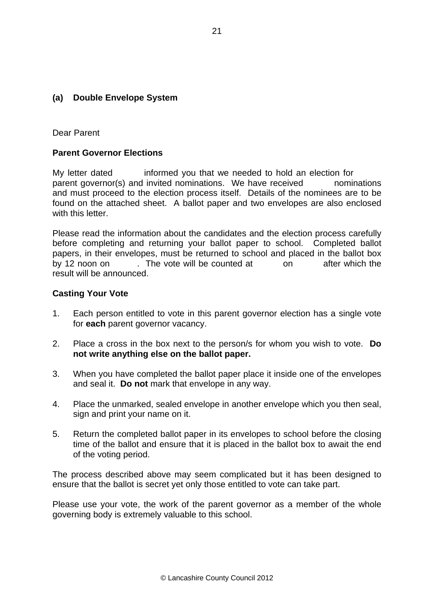#### **(a) Double Envelope System**

Dear Parent

#### **Parent Governor Elections**

My letter dated informed you that we needed to hold an election for parent governor(s) and invited nominations. We have received nominations and must proceed to the election process itself. Details of the nominees are to be found on the attached sheet. A ballot paper and two envelopes are also enclosed with this letter

Please read the information about the candidates and the election process carefully before completing and returning your ballot paper to school. Completed ballot papers, in their envelopes, must be returned to school and placed in the ballot box by 12 noon on . The vote will be counted at on after which the result will be announced.

#### **Casting Your Vote**

- 1. Each person entitled to vote in this parent governor election has a single vote for **each** parent governor vacancy.
- 2. Place a cross in the box next to the person/s for whom you wish to vote. **Do not write anything else on the ballot paper.**
- 3. When you have completed the ballot paper place it inside one of the envelopes and seal it. **Do not** mark that envelope in any way.
- 4. Place the unmarked, sealed envelope in another envelope which you then seal, sign and print your name on it.
- 5. Return the completed ballot paper in its envelopes to school before the closing time of the ballot and ensure that it is placed in the ballot box to await the end of the voting period.

The process described above may seem complicated but it has been designed to ensure that the ballot is secret yet only those entitled to vote can take part.

Please use your vote, the work of the parent governor as a member of the whole governing body is extremely valuable to this school.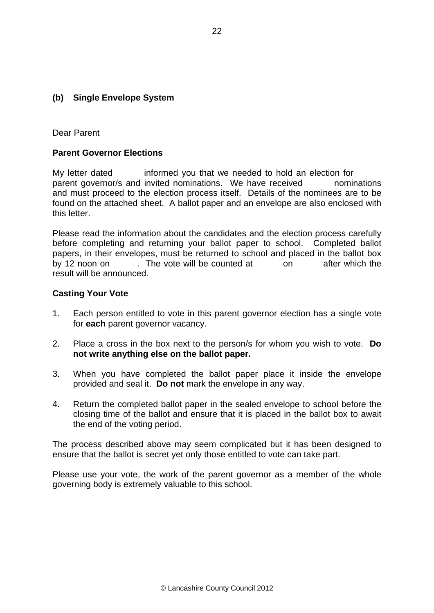#### **(b) Single Envelope System**

Dear Parent

#### **Parent Governor Elections**

My letter dated informed you that we needed to hold an election for parent governor/s and invited nominations. We have received nominations and must proceed to the election process itself. Details of the nominees are to be found on the attached sheet. A ballot paper and an envelope are also enclosed with this letter.

Please read the information about the candidates and the election process carefully before completing and returning your ballot paper to school. Completed ballot papers, in their envelopes, must be returned to school and placed in the ballot box by 12 noon on . The vote will be counted at on after which the result will be announced.

#### **Casting Your Vote**

- 1. Each person entitled to vote in this parent governor election has a single vote for **each** parent governor vacancy.
- 2. Place a cross in the box next to the person/s for whom you wish to vote. **Do not write anything else on the ballot paper.**
- 3. When you have completed the ballot paper place it inside the envelope provided and seal it. **Do not** mark the envelope in any way.
- 4. Return the completed ballot paper in the sealed envelope to school before the closing time of the ballot and ensure that it is placed in the ballot box to await the end of the voting period.

The process described above may seem complicated but it has been designed to ensure that the ballot is secret yet only those entitled to vote can take part.

Please use your vote, the work of the parent governor as a member of the whole governing body is extremely valuable to this school.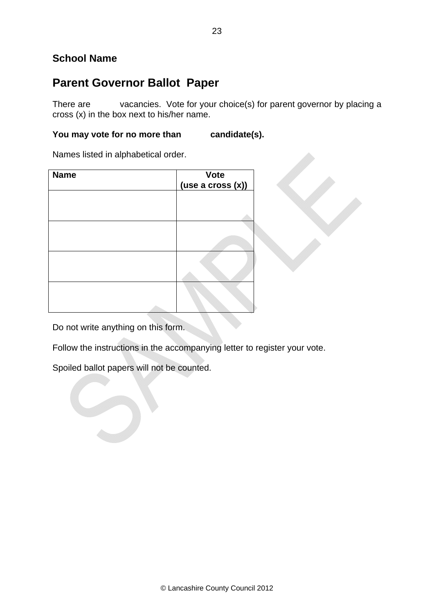## **School Name**

# **Parent Governor Ballot Paper**

There are vacancies. Vote for your choice(s) for parent governor by placing a cross (x) in the box next to his/her name.

## You may vote for no more than candidate(s).

Names listed in alphabetical order.

| <b>Name</b> | $\overline{V}$ Vote<br>(use a cross $(x)$ ) |  |
|-------------|---------------------------------------------|--|
|             |                                             |  |
|             |                                             |  |
|             |                                             |  |
|             |                                             |  |
|             |                                             |  |

Do not write anything on this form.

Follow the instructions in the accompanying letter to register your vote.

Spoiled ballot papers will not be counted.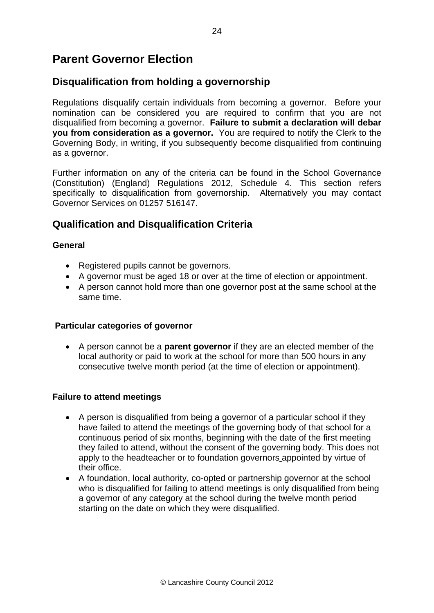# **Parent Governor Election**

## **Disqualification from holding a governorship**

Regulations disqualify certain individuals from becoming a governor. Before your nomination can be considered you are required to confirm that you are not disqualified from becoming a governor. **Failure to submit a declaration will debar you from consideration as a governor.** You are required to notify the Clerk to the Governing Body, in writing, if you subsequently become disqualified from continuing as a governor.

Further information on any of the criteria can be found in the School Governance (Constitution) (England) Regulations 2012, Schedule 4. This section refers specifically to disqualification from governorship. Alternatively you may contact Governor Services on 01257 516147.

## **Qualification and Disqualification Criteria**

#### **General**

- Registered pupils cannot be governors.
- A governor must be aged 18 or over at the time of election or appointment.
- A person cannot hold more than one governor post at the same school at the same time.

#### **Particular categories of governor**

• A person cannot be a **parent governor** if they are an elected member of the local authority or paid to work at the school for more than 500 hours in any consecutive twelve month period (at the time of election or appointment).

#### **Failure to attend meetings**

- A person is disqualified from being a governor of a particular school if they have failed to attend the meetings of the governing body of that school for a continuous period of six months, beginning with the date of the first meeting they failed to attend, without the consent of the governing body. This does not apply to the headteacher or to foundation governors appointed by virtue of their office.
- A foundation, local authority, co-opted or partnership governor at the school who is disqualified for failing to attend meetings is only disqualified from being a governor of any category at the school during the twelve month period starting on the date on which they were disqualified.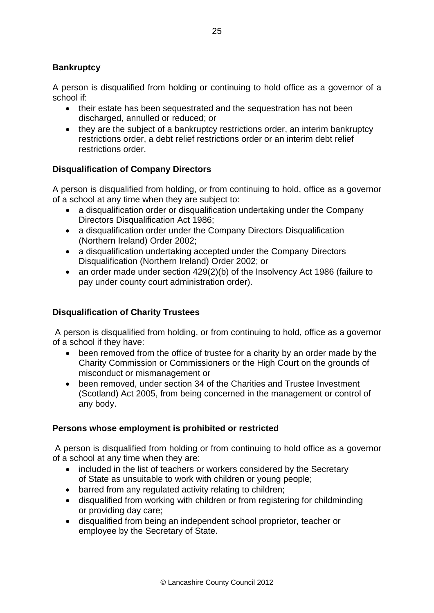#### **Bankruptcy**

A person is disqualified from holding or continuing to hold office as a governor of a school if:

- their estate has been sequestrated and the sequestration has not been discharged, annulled or reduced; or
- they are the subject of a bankruptcy restrictions order, an interim bankruptcy restrictions order, a debt relief restrictions order or an interim debt relief restrictions order.

#### **Disqualification of Company Directors**

A person is disqualified from holding, or from continuing to hold, office as a governor of a school at any time when they are subject to:

- a disqualification order or disqualification undertaking under the Company Directors Disqualification Act 1986;
- a disqualification order under the Company Directors Disqualification (Northern Ireland) Order 2002;
- a disqualification undertaking accepted under the Company Directors Disqualification (Northern Ireland) Order 2002; or
- an order made under section 429(2)(b) of the Insolvency Act 1986 (failure to pay under county court administration order).

## **Disqualification of Charity Trustees**

 A person is disqualified from holding, or from continuing to hold, office as a governor of a school if they have:

- been removed from the office of trustee for a charity by an order made by the Charity Commission or Commissioners or the High Court on the grounds of misconduct or mismanagement or
- been removed, under section 34 of the Charities and Trustee Investment (Scotland) Act 2005, from being concerned in the management or control of any body.

#### **Persons whose employment is prohibited or restricted**

 A person is disqualified from holding or from continuing to hold office as a governor of a school at any time when they are:

- included in the list of teachers or workers considered by the Secretary of State as unsuitable to work with children or young people;
- barred from any regulated activity relating to children;
- disqualified from working with children or from registering for childminding or providing day care;
- disqualified from being an independent school proprietor, teacher or employee by the Secretary of State.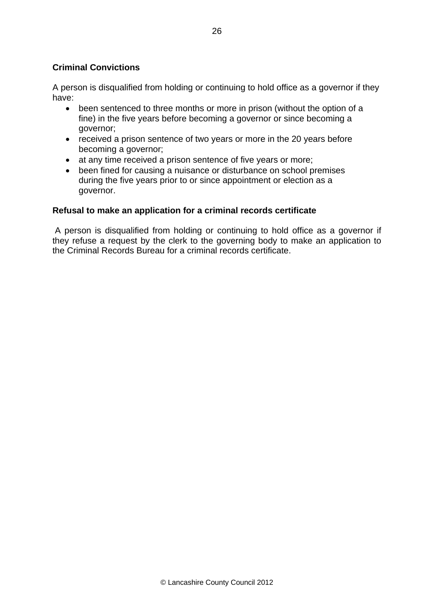#### **Criminal Convictions**

A person is disqualified from holding or continuing to hold office as a governor if they have:

- been sentenced to three months or more in prison (without the option of a fine) in the five years before becoming a governor or since becoming a governor;
- received a prison sentence of two years or more in the 20 years before becoming a governor;
- at any time received a prison sentence of five years or more;
- been fined for causing a nuisance or disturbance on school premises during the five years prior to or since appointment or election as a governor.

#### **Refusal to make an application for a criminal records certificate**

 A person is disqualified from holding or continuing to hold office as a governor if they refuse a request by the clerk to the governing body to make an application to the Criminal Records Bureau for a criminal records certificate.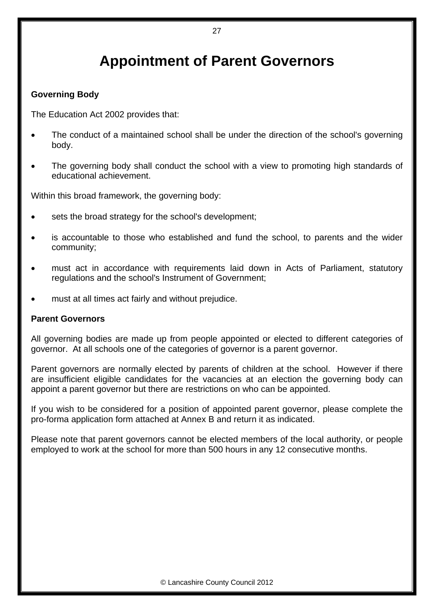# **Appointment of Parent Governors**

#### **Governing Body**

The Education Act 2002 provides that:

- The conduct of a maintained school shall be under the direction of the school's governing body.
- The governing body shall conduct the school with a view to promoting high standards of educational achievement.

Within this broad framework, the governing body:

- sets the broad strategy for the school's development;
- is accountable to those who established and fund the school, to parents and the wider community;
- must act in accordance with requirements laid down in Acts of Parliament, statutory regulations and the school's Instrument of Government;
- must at all times act fairly and without prejudice.

#### **Parent Governors**

All governing bodies are made up from people appointed or elected to different categories of governor. At all schools one of the categories of governor is a parent governor.

Parent governors are normally elected by parents of children at the school. However if there are insufficient eligible candidates for the vacancies at an election the governing body can appoint a parent governor but there are restrictions on who can be appointed.

If you wish to be considered for a position of appointed parent governor, please complete the pro-forma application form attached at Annex B and return it as indicated.

Please note that parent governors cannot be elected members of the local authority, or people employed to work at the school for more than 500 hours in any 12 consecutive months.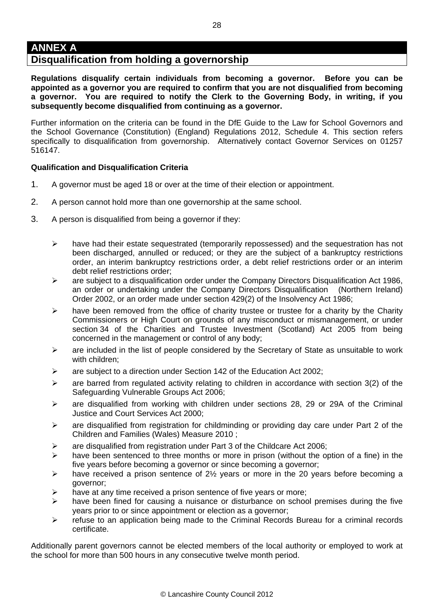## **Disqualification from holding a governorship**

**Regulations disqualify certain individuals from becoming a governor. Before you can be appointed as a governor you are required to confirm that you are not disqualified from becoming a governor. You are required to notify the Clerk to the Governing Body, in writing, if you subsequently become disqualified from continuing as a governor.** 

Further information on the criteria can be found in the DfE Guide to the Law for School Governors and the School Governance (Constitution) (England) Regulations 2012, Schedule 4. This section refers specifically to disqualification from governorship. Alternatively contact Governor Services on 01257 516147.

#### **Qualification and Disqualification Criteria**

- 1. A governor must be aged 18 or over at the time of their election or appointment.
- 2. A person cannot hold more than one governorship at the same school.
- 3. A person is disqualified from being a governor if they:
	- $\triangleright$  have had their estate sequestrated (temporarily repossessed) and the sequestration has not been discharged, annulled or reduced; or they are the subject of a bankruptcy restrictions order, an interim bankruptcy restrictions order, a debt relief restrictions order or an interim debt relief restrictions order;
	- ¾ are subject to a disqualification order under the Company Directors Disqualification Act 1986, an order or undertaking under the Company Directors Disqualification (Northern Ireland) Order 2002, or an order made under section 429(2) of the Insolvency Act 1986;
	- $\triangleright$  have been removed from the office of charity trustee or trustee for a charity by the Charity Commissioners or High Court on grounds of any misconduct or mismanagement, or under section 34 of the Charities and Trustee Investment (Scotland) Act 2005 from being concerned in the management or control of any body;
	- $\triangleright$  are included in the list of people considered by the Secretary of State as unsuitable to work with children;
	- $\geq$  are subject to a direction under Section 142 of the Education Act 2002;
	- $\triangleright$  are barred from regulated activity relating to children in accordance with section 3(2) of the Safeguarding Vulnerable Groups Act 2006;
	- $\triangleright$  are disqualified from working with children under sections 28, 29 or 29A of the Criminal Justice and Court Services Act 2000;
	- ¾ are disqualified from registration for childminding or providing day care under Part 2 of the Children and Families (Wales) Measure 2010 ;
	- ¾ are disqualified from registration under Part 3 of the Childcare Act 2006;
	- $\triangleright$  have been sentenced to three months or more in prison (without the option of a fine) in the five years before becoming a governor or since becoming a governor;
	- $\triangleright$  have received a prison sentence of 2½ years or more in the 20 years before becoming a governor;
	- $\triangleright$  have at any time received a prison sentence of five years or more;
	- $\triangleright$  have been fined for causing a nuisance or disturbance on school premises during the five years prior to or since appointment or election as a governor;
	- ¾ refuse to an application being made to the Criminal Records Bureau for a criminal records certificate.

Additionally parent governors cannot be elected members of the local authority or employed to work at the school for more than 500 hours in any consecutive twelve month period.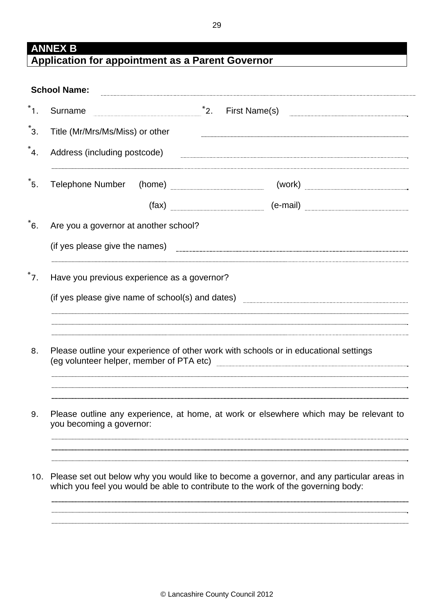## **ANNEX B Application for appointment as a Parent Governor**

| Surname                 |                                 |                                                  | $^*$ 2. | First Name(s)                                                                                                                                                                                                                        |  |
|-------------------------|---------------------------------|--------------------------------------------------|---------|--------------------------------------------------------------------------------------------------------------------------------------------------------------------------------------------------------------------------------------|--|
|                         | Title (Mr/Mrs/Ms/Miss) or other |                                                  |         |                                                                                                                                                                                                                                      |  |
|                         | Address (including postcode)    |                                                  |         |                                                                                                                                                                                                                                      |  |
| <b>Telephone Number</b> |                                 |                                                  |         |                                                                                                                                                                                                                                      |  |
|                         |                                 |                                                  |         |                                                                                                                                                                                                                                      |  |
|                         |                                 | Are you a governor at another school?            |         |                                                                                                                                                                                                                                      |  |
|                         | (if yes please give the names)  |                                                  |         |                                                                                                                                                                                                                                      |  |
|                         |                                 | Have you previous experience as a governor?      |         |                                                                                                                                                                                                                                      |  |
|                         |                                 | (if yes please give name of school(s) and dates) |         |                                                                                                                                                                                                                                      |  |
|                         |                                 |                                                  |         |                                                                                                                                                                                                                                      |  |
|                         |                                 |                                                  |         |                                                                                                                                                                                                                                      |  |
|                         |                                 |                                                  |         | Please outline your experience of other work with schools or in educational settings                                                                                                                                                 |  |
|                         |                                 |                                                  |         | (eg volunteer helper, member of PTA etc) <b>manual contract and contract an extract and contract an extract and contract and contract and contract and contract and contract and contract and contract and contract and contract</b> |  |
|                         | you becoming a governor:        |                                                  |         | Please outline any experience, at home, at work or elsewhere which may be relevant to                                                                                                                                                |  |